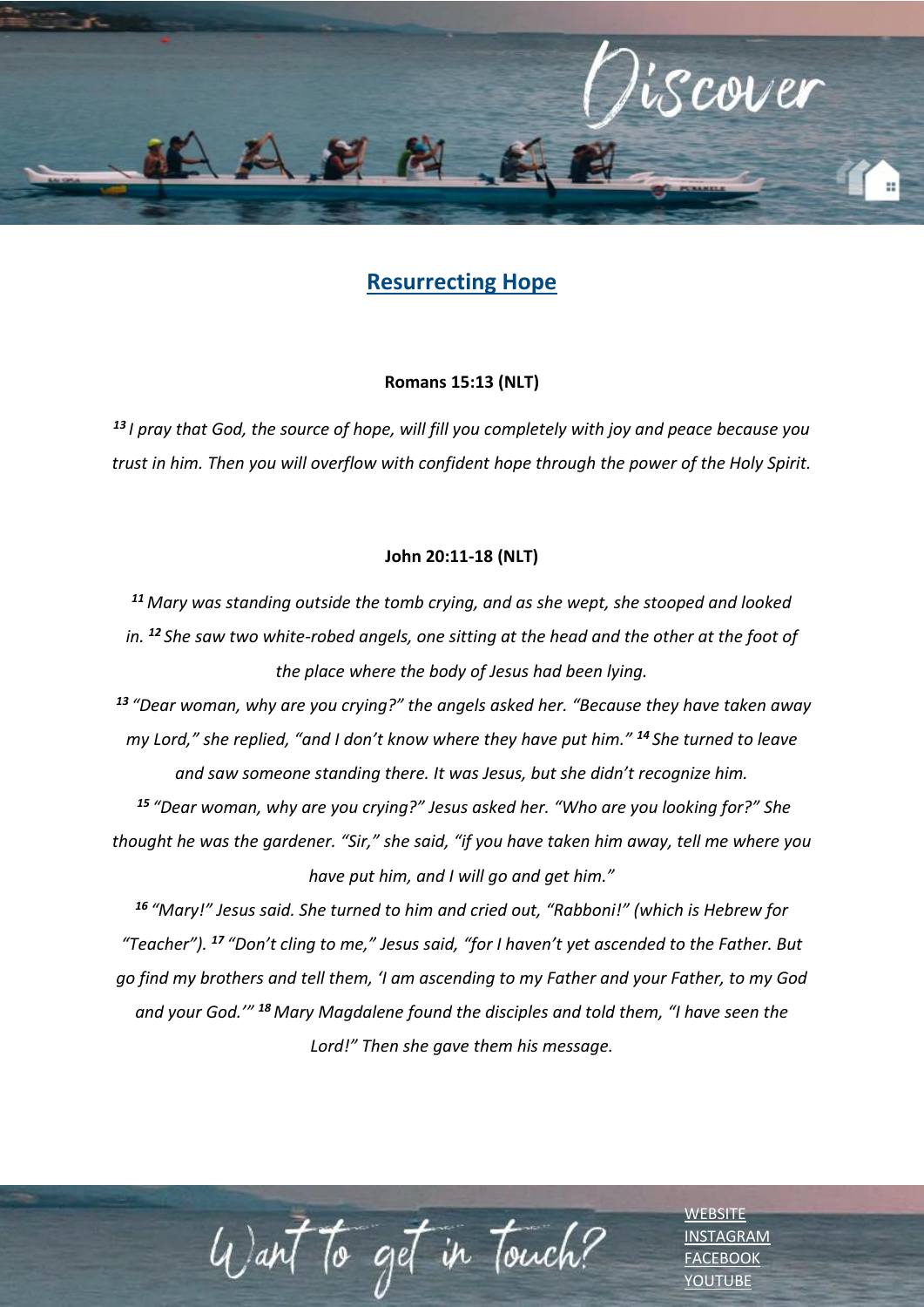

## **Resurrecting Hope**

## **Romans 15:13 (NLT)**

*<sup>13</sup> I pray that God, the source of hope, will fill you completely with joy and peace because you trust in him. Then you will overflow with confident hope through the power of the Holy Spirit.*

## **John 20:11-18 (NLT)**

*<sup>11</sup> Mary was standing outside the tomb crying, and as she wept, she stooped and looked in. <sup>12</sup> She saw two white-robed angels, one sitting at the head and the other at the foot of the place where the body of Jesus had been lying.*

*<sup>13</sup> "Dear woman, why are you crying?" the angels asked her. "Because they have taken away my Lord," she replied, "and I don't know where they have put him." <sup>14</sup> She turned to leave and saw someone standing there. It was Jesus, but she didn't recognize him. <sup>15</sup> "Dear woman, why are you crying?" Jesus asked her. "Who are you looking for?" She* 

*thought he was the gardener. "Sir," she said, "if you have taken him away, tell me where you have put him, and I will go and get him."*

*<sup>16</sup> "Mary!" Jesus said. She turned to him and cried out, "Rabboni!" (which is Hebrew for "Teacher"). <sup>17</sup> "Don't cling to me," Jesus said, "for I haven't yet ascended to the Father. But go find my brothers and tell them, 'I am ascending to my Father and your Father, to my God and your God.'" <sup>18</sup> Mary Magdalene found the disciples and told them, "I have seen the Lord!" Then she gave them his message.*

Want to get in Touch?

[WEBSITE](http://www.escc.co.za/) [INSTAGRAM](https://www.instagram.com/esccdurbanville/) **[FACEBOOK](https://www.facebook.com/escc.za)** [YOUTUBE](https://www.youtube.com/c/ESCCDurbanvilleV)